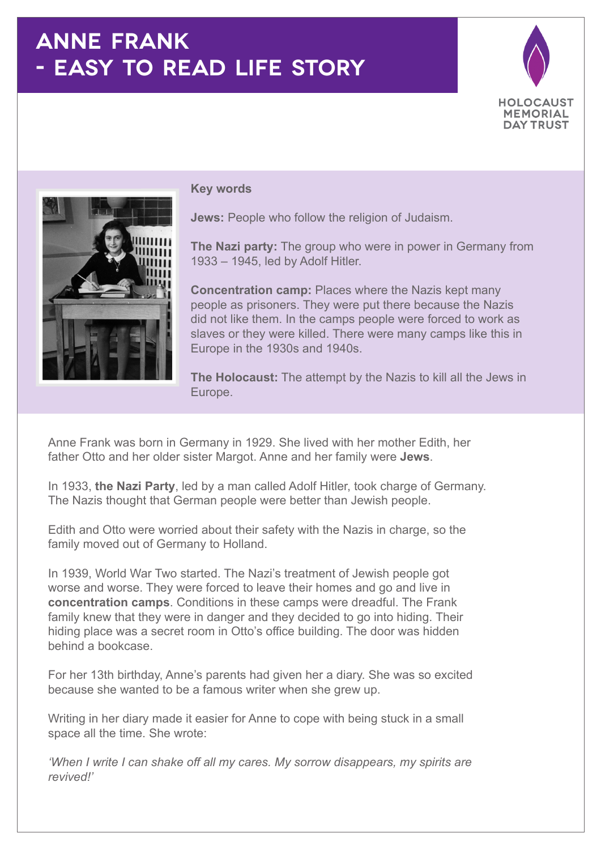## **ANNE FRANK - EASY TO READ LIFE STORY**





## **Key words**

**Jews:** People who follow the religion of Judaism.

**The Nazi party:** The group who were in power in Germany from 1933 – 1945, led by Adolf Hitler.

**Concentration camp:** Places where the Nazis kept many people as prisoners. They were put there because the Nazis did not like them. In the camps people were forced to work as slaves or they were killed. There were many camps like this in Europe in the 1930s and 1940s.

**The Holocaust:** The attempt by the Nazis to kill all the Jews in Europe.

Anne Frank was born in Germany in 1929. She lived with her mother Edith, her father Otto and her older sister Margot. Anne and her family were **Jews**.

In 1933, **the Nazi Party**, led by a man called Adolf Hitler, took charge of Germany. The Nazis thought that German people were better than Jewish people.

Edith and Otto were worried about their safety with the Nazis in charge, so the family moved out of Germany to Holland.

In 1939, World War Two started. The Nazi's treatment of Jewish people got worse and worse. They were forced to leave their homes and go and live in **concentration camps**. Conditions in these camps were dreadful. The Frank family knew that they were in danger and they decided to go into hiding. Their hiding place was a secret room in Otto's office building. The door was hidden behind a bookcase.

For her 13th birthday, Anne's parents had given her a diary. She was so excited because she wanted to be a famous writer when she grew up.

Writing in her diary made it easier for Anne to cope with being stuck in a small space all the time. She wrote:

*'When I write I can shake off all my cares. My sorrow disappears, my spirits are revived!'*